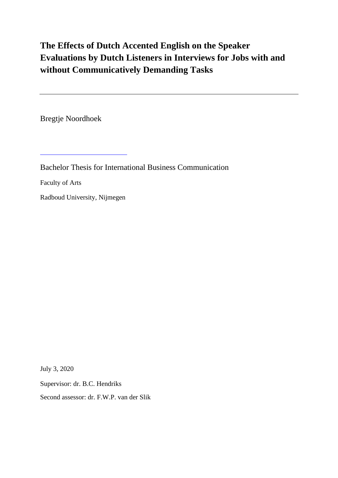# **The Effects of Dutch Accented English on the Speaker Evaluations by Dutch Listeners in Interviews for Jobs with and without Communicatively Demanding Tasks**

Bregtje Noordhoek

Bachelor Thesis for International Business Communication

Faculty of Arts

Radboud University, Nijmegen

July 3, 2020

Supervisor: dr. B.C. Hendriks

Second assessor: dr. F.W.P. van der Slik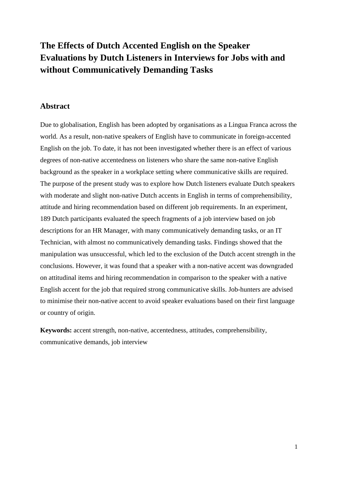## **The Effects of Dutch Accented English on the Speaker Evaluations by Dutch Listeners in Interviews for Jobs with and without Communicatively Demanding Tasks**

### **Abstract**

Due to globalisation, English has been adopted by organisations as a Lingua Franca across the world. As a result, non-native speakers of English have to communicate in foreign-accented English on the job. To date, it has not been investigated whether there is an effect of various degrees of non-native accentedness on listeners who share the same non-native English background as the speaker in a workplace setting where communicative skills are required. The purpose of the present study was to explore how Dutch listeners evaluate Dutch speakers with moderate and slight non-native Dutch accents in English in terms of comprehensibility, attitude and hiring recommendation based on different job requirements. In an experiment, 189 Dutch participants evaluated the speech fragments of a job interview based on job descriptions for an HR Manager, with many communicatively demanding tasks, or an IT Technician, with almost no communicatively demanding tasks. Findings showed that the manipulation was unsuccessful, which led to the exclusion of the Dutch accent strength in the conclusions. However, it was found that a speaker with a non-native accent was downgraded on attitudinal items and hiring recommendation in comparison to the speaker with a native English accent for the job that required strong communicative skills. Job-hunters are advised to minimise their non-native accent to avoid speaker evaluations based on their first language or country of origin.

**Keywords:** accent strength, non-native, accentedness, attitudes, comprehensibility, communicative demands, job interview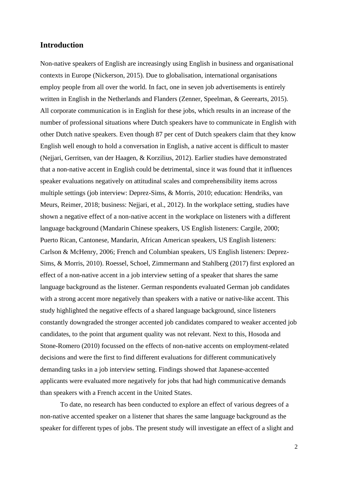### **Introduction**

Non-native speakers of English are increasingly using English in business and organisational contexts in Europe (Nickerson, 2015). Due to globalisation, international organisations employ people from all over the world. In fact, one in seven job advertisements is entirely written in English in the Netherlands and Flanders (Zenner, Speelman, & Geerearts, 2015). All corporate communication is in English for these jobs, which results in an increase of the number of professional situations where Dutch speakers have to communicate in English with other Dutch native speakers. Even though 87 per cent of Dutch speakers claim that they know English well enough to hold a conversation in English, a native accent is difficult to master (Nejjari, Gerritsen, van der Haagen, & Korzilius, 2012). Earlier studies have demonstrated that a non-native accent in English could be detrimental, since it was found that it influences speaker evaluations negatively on attitudinal scales and comprehensibility items across multiple settings (job interview: Deprez-Sims, & Morris, 2010; education: Hendriks, van Meurs, Reimer, 2018; business: Nejjari, et al., 2012). In the workplace setting, studies have shown a negative effect of a non-native accent in the workplace on listeners with a different language background (Mandarin Chinese speakers, US English listeners: Cargile, 2000; Puerto Rican, Cantonese, Mandarin, African American speakers, US English listeners: Carlson & McHenry, 2006; French and Columbian speakers, US English listeners: Deprez-Sims, & Morris, 2010). Roessel, Schoel, Zimmermann and Stahlberg (2017) first explored an effect of a non-native accent in a job interview setting of a speaker that shares the same language background as the listener. German respondents evaluated German job candidates with a strong accent more negatively than speakers with a native or native-like accent. This study highlighted the negative effects of a shared language background, since listeners constantly downgraded the stronger accented job candidates compared to weaker accented job candidates, to the point that argument quality was not relevant. Next to this, Hosoda and Stone-Romero (2010) focussed on the effects of non-native accents on employment-related decisions and were the first to find different evaluations for different communicatively demanding tasks in a job interview setting. Findings showed that Japanese-accented applicants were evaluated more negatively for jobs that had high communicative demands than speakers with a French accent in the United States.

To date, no research has been conducted to explore an effect of various degrees of a non-native accented speaker on a listener that shares the same language background as the speaker for different types of jobs. The present study will investigate an effect of a slight and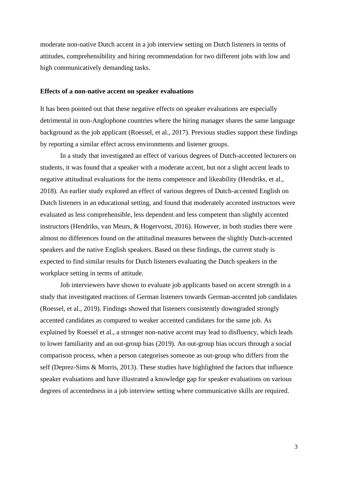moderate non-native Dutch accent in a job interview setting on Dutch listeners in terms of attitudes, comprehensibility and hiring recommendation for two different jobs with low and high communicatively demanding tasks.

#### **Effects of a non-native accent on speaker evaluations**

It has been pointed out that these negative effects on speaker evaluations are especially detrimental in non-Anglophone countries where the hiring manager shares the same language background as the job applicant (Roessel, et al., 2017). Previous studies support these findings by reporting a similar effect across environments and listener groups.

In a study that investigated an effect of various degrees of Dutch-accented lecturers on students, it was found that a speaker with a moderate accent, but not a slight accent leads to negative attitudinal evaluations for the items competence and likeability (Hendriks, et al., 2018). An earlier study explored an effect of various degrees of Dutch-accented English on Dutch listeners in an educational setting, and found that moderately accented instructors were evaluated as less comprehensible, less dependent and less competent than slightly accented instructors (Hendriks, van Meurs, & Hogervorst, 2016). However, in both studies there were almost no differences found on the attitudinal measures between the slightly Dutch-accented speakers and the native English speakers. Based on these findings, the current study is expected to find similar results for Dutch listeners evaluating the Dutch speakers in the workplace setting in terms of attitude.

Job interviewers have shown to evaluate job applicants based on accent strength in a study that investigated reactions of German listeners towards German-accented job candidates (Roessel, et al., 2019). Findings showed that listeners consistently downgraded strongly accented candidates as compared to weaker accented candidates for the same job. As explained by Roessel et al., a stronger non-native accent may lead to disfluency, which leads to lower familiarity and an out-group bias (2019). An out-group bias occurs through a social comparison process, when a person categorises someone as out-group who differs from the self (Deprez-Sims & Morris, 2013). These studies have highlighted the factors that influence speaker evaluations and have illustrated a knowledge gap for speaker evaluations on various degrees of accentedness in a job interview setting where communicative skills are required.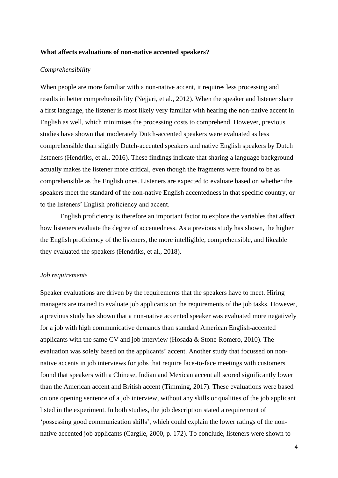#### **What affects evaluations of non-native accented speakers?**

#### *Comprehensibility*

When people are more familiar with a non-native accent, it requires less processing and results in better comprehensibility (Nejjari, et al., 2012). When the speaker and listener share a first language, the listener is most likely very familiar with hearing the non-native accent in English as well, which minimises the processing costs to comprehend. However, previous studies have shown that moderately Dutch-accented speakers were evaluated as less comprehensible than slightly Dutch-accented speakers and native English speakers by Dutch listeners (Hendriks, et al., 2016). These findings indicate that sharing a language background actually makes the listener more critical, even though the fragments were found to be as comprehensible as the English ones. Listeners are expected to evaluate based on whether the speakers meet the standard of the non-native English accentedness in that specific country, or to the listeners' English proficiency and accent.

English proficiency is therefore an important factor to explore the variables that affect how listeners evaluate the degree of accentedness. As a previous study has shown, the higher the English proficiency of the listeners, the more intelligible, comprehensible, and likeable they evaluated the speakers (Hendriks, et al., 2018).

#### *Job requirements*

Speaker evaluations are driven by the requirements that the speakers have to meet. Hiring managers are trained to evaluate job applicants on the requirements of the job tasks. However, a previous study has shown that a non-native accented speaker was evaluated more negatively for a job with high communicative demands than standard American English-accented applicants with the same CV and job interview (Hosada & Stone-Romero, 2010). The evaluation was solely based on the applicants' accent. Another study that focussed on nonnative accents in job interviews for jobs that require face-to-face meetings with customers found that speakers with a Chinese, Indian and Mexican accent all scored significantly lower than the American accent and British accent (Timming, 2017). These evaluations were based on one opening sentence of a job interview, without any skills or qualities of the job applicant listed in the experiment. In both studies, the job description stated a requirement of 'possessing good communication skills', which could explain the lower ratings of the nonnative accented job applicants (Cargile, 2000, p. 172). To conclude, listeners were shown to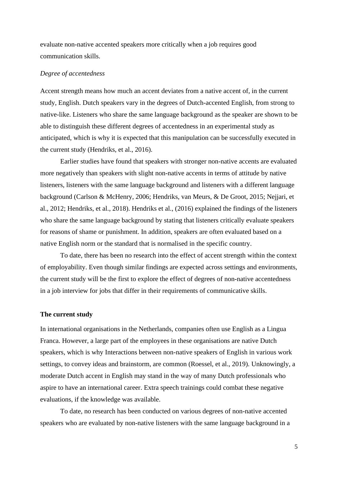evaluate non-native accented speakers more critically when a job requires good communication skills.

#### *Degree of accentedness*

Accent strength means how much an accent deviates from a native accent of, in the current study, English. Dutch speakers vary in the degrees of Dutch-accented English, from strong to native-like. Listeners who share the same language background as the speaker are shown to be able to distinguish these different degrees of accentedness in an experimental study as anticipated, which is why it is expected that this manipulation can be successfully executed in the current study (Hendriks, et al., 2016).

Earlier studies have found that speakers with stronger non-native accents are evaluated more negatively than speakers with slight non-native accents in terms of attitude by native listeners, listeners with the same language background and listeners with a different language background (Carlson & McHenry, 2006; Hendriks, van Meurs, & De Groot, 2015; Nejjari, et al., 2012; Hendriks, et al., 2018). Hendriks et al., (2016) explained the findings of the listeners who share the same language background by stating that listeners critically evaluate speakers for reasons of shame or punishment. In addition, speakers are often evaluated based on a native English norm or the standard that is normalised in the specific country.

To date, there has been no research into the effect of accent strength within the context of employability. Even though similar findings are expected across settings and environments, the current study will be the first to explore the effect of degrees of non-native accentedness in a job interview for jobs that differ in their requirements of communicative skills.

#### **The current study**

In international organisations in the Netherlands, companies often use English as a Lingua Franca. However, a large part of the employees in these organisations are native Dutch speakers, which is why Interactions between non-native speakers of English in various work settings, to convey ideas and brainstorm, are common (Roessel, et al., 2019). Unknowingly, a moderate Dutch accent in English may stand in the way of many Dutch professionals who aspire to have an international career. Extra speech trainings could combat these negative evaluations, if the knowledge was available.

To date, no research has been conducted on various degrees of non-native accented speakers who are evaluated by non-native listeners with the same language background in a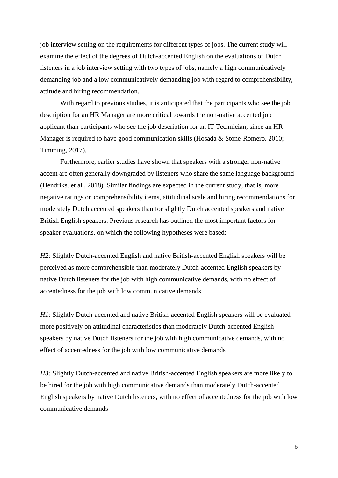job interview setting on the requirements for different types of jobs. The current study will examine the effect of the degrees of Dutch-accented English on the evaluations of Dutch listeners in a job interview setting with two types of jobs, namely a high communicatively demanding job and a low communicatively demanding job with regard to comprehensibility, attitude and hiring recommendation.

With regard to previous studies, it is anticipated that the participants who see the job description for an HR Manager are more critical towards the non-native accented job applicant than participants who see the job description for an IT Technician, since an HR Manager is required to have good communication skills (Hosada & Stone-Romero, 2010; Timming, 2017).

Furthermore, earlier studies have shown that speakers with a stronger non-native accent are often generally downgraded by listeners who share the same language background (Hendriks, et al., 2018). Similar findings are expected in the current study, that is, more negative ratings on comprehensibility items, attitudinal scale and hiring recommendations for moderately Dutch accented speakers than for slightly Dutch accented speakers and native British English speakers. Previous research has outlined the most important factors for speaker evaluations, on which the following hypotheses were based:

*H2:* Slightly Dutch-accented English and native British-accented English speakers will be perceived as more comprehensible than moderately Dutch-accented English speakers by native Dutch listeners for the job with high communicative demands, with no effect of accentedness for the job with low communicative demands

*H1*: Slightly Dutch-accented and native British-accented English speakers will be evaluated more positively on attitudinal characteristics than moderately Dutch-accented English speakers by native Dutch listeners for the job with high communicative demands, with no effect of accentedness for the job with low communicative demands

*H3:* Slightly Dutch-accented and native British-accented English speakers are more likely to be hired for the job with high communicative demands than moderately Dutch-accented English speakers by native Dutch listeners, with no effect of accentedness for the job with low communicative demands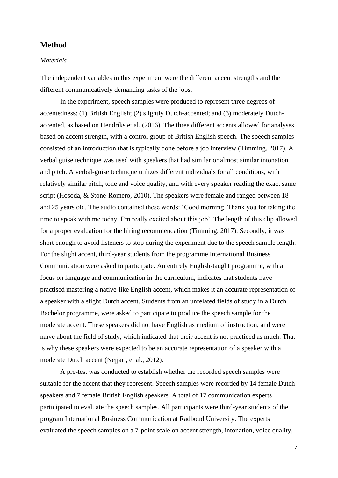### **Method**

#### *Materials*

The independent variables in this experiment were the different accent strengths and the different communicatively demanding tasks of the jobs.

In the experiment, speech samples were produced to represent three degrees of accentedness: (1) British English; (2) slightly Dutch-accented; and (3) moderately Dutchaccented, as based on Hendriks et al. (2016). The three different accents allowed for analyses based on accent strength, with a control group of British English speech. The speech samples consisted of an introduction that is typically done before a job interview (Timming, 2017). A verbal guise technique was used with speakers that had similar or almost similar intonation and pitch. A verbal-guise technique utilizes different individuals for all conditions, with relatively similar pitch, tone and voice quality, and with every speaker reading the exact same script (Hosoda, & Stone-Romero, 2010). The speakers were female and ranged between 18 and 25 years old. The audio contained these words: 'Good morning. Thank you for taking the time to speak with me today. I'm really excited about this job'. The length of this clip allowed for a proper evaluation for the hiring recommendation (Timming, 2017). Secondly, it was short enough to avoid listeners to stop during the experiment due to the speech sample length. For the slight accent, third-year students from the programme International Business Communication were asked to participate. An entirely English-taught programme, with a focus on language and communication in the curriculum, indicates that students have practised mastering a native-like English accent, which makes it an accurate representation of a speaker with a slight Dutch accent. Students from an unrelated fields of study in a Dutch Bachelor programme, were asked to participate to produce the speech sample for the moderate accent. These speakers did not have English as medium of instruction, and were naïve about the field of study, which indicated that their accent is not practiced as much. That is why these speakers were expected to be an accurate representation of a speaker with a moderate Dutch accent (Nejjari, et al., 2012).

A pre-test was conducted to establish whether the recorded speech samples were suitable for the accent that they represent. Speech samples were recorded by 14 female Dutch speakers and 7 female British English speakers. A total of 17 communication experts participated to evaluate the speech samples. All participants were third-year students of the program International Business Communication at Radboud University. The experts evaluated the speech samples on a 7-point scale on accent strength, intonation, voice quality,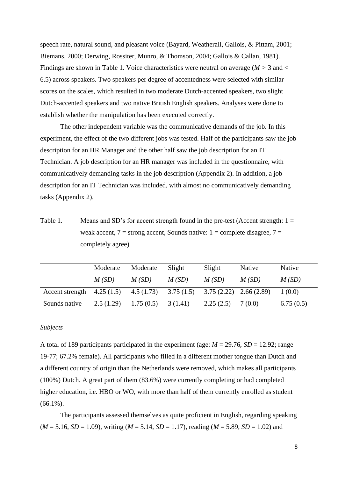speech rate, natural sound, and pleasant voice (Bayard, Weatherall, Gallois, & Pittam, 2001; Biemans, 2000; Derwing, Rossiter, Munro, & Thomson, 2004; Gallois & Callan, 1981). Findings are shown in Table 1. Voice characteristics were neutral on average ( $M > 3$  and  $<$ 6.5) across speakers. Two speakers per degree of accentedness were selected with similar scores on the scales, which resulted in two moderate Dutch-accented speakers, two slight Dutch-accented speakers and two native British English speakers. Analyses were done to establish whether the manipulation has been executed correctly.

The other independent variable was the communicative demands of the job. In this experiment, the effect of the two different jobs was tested. Half of the participants saw the job description for an HR Manager and the other half saw the job description for an IT Technician. A job description for an HR manager was included in the questionnaire, with communicatively demanding tasks in the job description (Appendix 2). In addition, a job description for an IT Technician was included, with almost no communicatively demanding tasks (Appendix 2).

Table 1. Means and SD's for accent strength found in the pre-test (Accent strength: 1 = weak accent,  $7 =$  strong accent, Sounds native:  $1 =$  complete disagree,  $7 =$ completely agree)

|                                                                               | Moderate | Moderate                          | Slight | Slight    | Native  | Native    |
|-------------------------------------------------------------------------------|----------|-----------------------------------|--------|-----------|---------|-----------|
|                                                                               | M(SD)    | M(SD)                             | M(SD)  | M(SD)     | M(SD)   | M(SD)     |
| Accent strength $4.25(1.5)$ $4.5(1.73)$ $3.75(1.5)$ $3.75(2.22)$ $2.66(2.89)$ |          |                                   |        |           |         | 1(0.0)    |
| Sounds native                                                                 |          | $2.5(1.29)$ $1.75(0.5)$ $3(1.41)$ |        | 2.25(2.5) | 7 (0.0) | 6.75(0.5) |

#### *Subjects*

A total of 189 participants participated in the experiment (age:  $M = 29.76$ ,  $SD = 12.92$ ; range 19-77; 67.2% female). All participants who filled in a different mother tongue than Dutch and a different country of origin than the Netherlands were removed, which makes all participants (100%) Dutch. A great part of them (83.6%) were currently completing or had completed higher education, i.e. HBO or WO, with more than half of them currently enrolled as student  $(66.1\%)$ .

The participants assessed themselves as quite proficient in English, regarding speaking  $(M = 5.16, SD = 1.09)$ , writing  $(M = 5.14, SD = 1.17)$ , reading  $(M = 5.89, SD = 1.02)$  and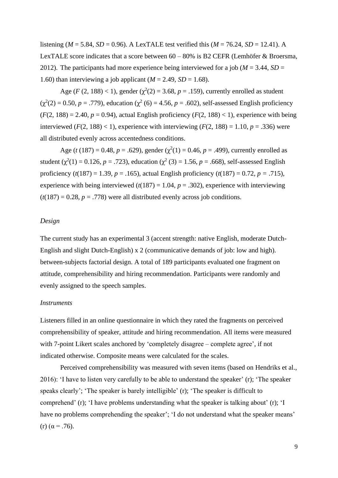listening ( $M = 5.84$ ,  $SD = 0.96$ ). A LexTALE test verified this ( $M = 76.24$ ,  $SD = 12.41$ ). A LexTALE score indicates that a score between  $60 - 80\%$  is B2 CEFR (Lemhöfer & Broersma, 2012). The participants had more experience being interviewed for a job (*M* = 3.44, *SD* = 1.60) than interviewing a job applicant  $(M = 2.49, SD = 1.68)$ .

Age (*F* (2, 188) < 1), gender ( $\chi^2(2) = 3.68$ , *p* = .159), currently enrolled as student  $(\chi^2(2) = 0.50, p = .779)$ , education  $(\chi^2(6) = 4.56, p = .602)$ , self-assessed English proficiency  $(F(2, 188) = 2.40, p = 0.94)$ , actual English proficiency  $(F(2, 188) < 1)$ , experience with being interviewed ( $F(2, 188) < 1$ ), experience with interviewing ( $F(2, 188) = 1.10$ ,  $p = .336$ ) were all distributed evenly across accentedness conditions.

Age (*t* (187) = 0.48, *p* = .629), gender ( $\chi^2(1) = 0.46$ , *p* = .499), currently enrolled as student ( $\chi^2(1) = 0.126$ , *p* = .723), education ( $\chi^2(3) = 1.56$ , *p* = .668), self-assessed English proficiency (*t*(187) = 1.39, *p* = .165), actual English proficiency (*t*(187) = 0.72, *p =* .715), experience with being interviewed  $(t(187) = 1.04, p = .302)$ , experience with interviewing  $(t(187) = 0.28, p = .778)$  were all distributed evenly across job conditions.

### *Design*

The current study has an experimental 3 (accent strength: native English, moderate Dutch-English and slight Dutch-English) x 2 (communicative demands of job: low and high). between-subjects factorial design. A total of 189 participants evaluated one fragment on attitude, comprehensibility and hiring recommendation. Participants were randomly and evenly assigned to the speech samples.

#### *Instruments*

Listeners filled in an online questionnaire in which they rated the fragments on perceived comprehensibility of speaker, attitude and hiring recommendation. All items were measured with 7-point Likert scales anchored by 'completely disagree – complete agree', if not indicated otherwise. Composite means were calculated for the scales.

Perceived comprehensibility was measured with seven items (based on Hendriks et al., 2016): 'I have to listen very carefully to be able to understand the speaker' (r); 'The speaker speaks clearly'; 'The speaker is barely intelligible' (r); 'The speaker is difficult to comprehend' (r); 'I have problems understanding what the speaker is talking about' (r); 'I have no problems comprehending the speaker'; 'I do not understand what the speaker means' (r)  $(\alpha = .76)$ .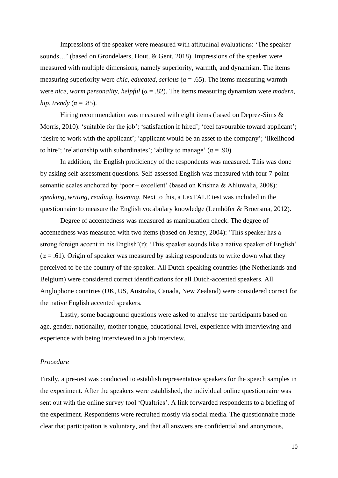Impressions of the speaker were measured with attitudinal evaluations: 'The speaker sounds…' (based on Grondelaers, Hout, & Gent, 2018). Impressions of the speaker were measured with multiple dimensions, namely superiority, warmth, and dynamism. The items measuring superiority were *chic, educated, serious* ( $\alpha$  = .65). The items measuring warmth were *nice, warm personality, helpful* (α = .82). The items measuring dynamism were *modern, hip, trendy* ( $\alpha$  = .85).

Hiring recommendation was measured with eight items (based on Deprez-Sims & Morris, 2010): 'suitable for the job'; 'satisfaction if hired'; 'feel favourable toward applicant'; 'desire to work with the applicant'; 'applicant would be an asset to the company'; 'likelihood to hire'; 'relationship with subordinates'; 'ability to manage'  $(\alpha = .90)$ .

In addition, the English proficiency of the respondents was measured. This was done by asking self-assessment questions. Self-assessed English was measured with four 7-point semantic scales anchored by 'poor – excellent' (based on Krishna & Ahluwalia, 2008): *speaking, writing, reading, listening*. Next to this, a LexTALE test was included in the questionnaire to measure the English vocabulary knowledge (Lemhöfer & Broersma, 2012).

Degree of accentedness was measured as manipulation check. The degree of accentedness was measured with two items (based on Jesney, 2004): 'This speaker has a strong foreign accent in his English'(r); 'This speaker sounds like a native speaker of English'  $(\alpha = .61)$ . Origin of speaker was measured by asking respondents to write down what they perceived to be the country of the speaker. All Dutch-speaking countries (the Netherlands and Belgium) were considered correct identifications for all Dutch-accented speakers. All Anglophone countries (UK, US, Australia, Canada, New Zealand) were considered correct for the native English accented speakers.

Lastly, some background questions were asked to analyse the participants based on age, gender, nationality, mother tongue, educational level, experience with interviewing and experience with being interviewed in a job interview.

#### *Procedure*

Firstly, a pre-test was conducted to establish representative speakers for the speech samples in the experiment. After the speakers were established, the individual online questionnaire was sent out with the online survey tool 'Qualtrics'. A link forwarded respondents to a briefing of the experiment. Respondents were recruited mostly via social media. The questionnaire made clear that participation is voluntary, and that all answers are confidential and anonymous,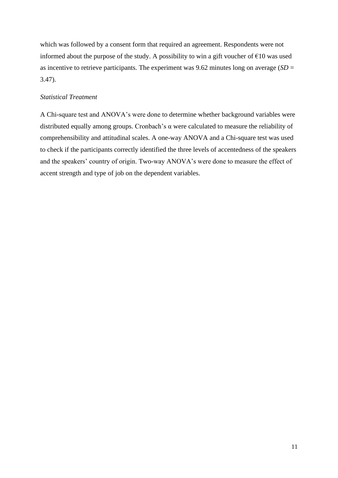which was followed by a consent form that required an agreement. Respondents were not informed about the purpose of the study. A possibility to win a gift voucher of  $\epsilon$ 10 was used as incentive to retrieve participants. The experiment was 9.62 minutes long on average  $(SD =$ 3.47).

### *Statistical Treatment*

A Chi-square test and ANOVA's were done to determine whether background variables were distributed equally among groups. Cronbach's α were calculated to measure the reliability of comprehensibility and attitudinal scales. A one-way ANOVA and a Chi-square test was used to check if the participants correctly identified the three levels of accentedness of the speakers and the speakers' country of origin. Two-way ANOVA's were done to measure the effect of accent strength and type of job on the dependent variables.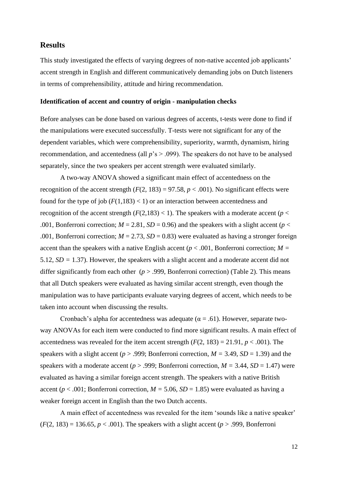### **Results**

This study investigated the effects of varying degrees of non-native accented job applicants' accent strength in English and different communicatively demanding jobs on Dutch listeners in terms of comprehensibility, attitude and hiring recommendation.

#### **Identification of accent and country of origin - manipulation checks**

Before analyses can be done based on various degrees of accents, t-tests were done to find if the manipulations were executed successfully. T-tests were not significant for any of the dependent variables, which were comprehensibility, superiority, warmth, dynamism, hiring recommendation, and accentedness (all *p*'s > .099). The speakers do not have to be analysed separately, since the two speakers per accent strength were evaluated similarly.

A two-way ANOVA showed a significant main effect of accentedness on the recognition of the accent strength  $(F(2, 183) = 97.58, p < .001)$ . No significant effects were found for the type of job  $(F(1,183) < 1)$  or an interaction between accentedness and recognition of the accent strength  $(F(2,183) < 1)$ . The speakers with a moderate accent ( $p <$ .001, Bonferroni correction;  $M = 2.81$ ,  $SD = 0.96$ ) and the speakers with a slight accent ( $p <$ .001, Bonferroni correction;  $M = 2.73$ ,  $SD = 0.83$ ) were evaluated as having a stronger foreign accent than the speakers with a native English accent ( $p < .001$ , Bonferroni correction;  $M =$ 5.12, *SD =* 1.37). However, the speakers with a slight accent and a moderate accent did not differ significantly from each other ( $p > .999$ , Bonferroni correction) (Table 2). This means that all Dutch speakers were evaluated as having similar accent strength, even though the manipulation was to have participants evaluate varying degrees of accent, which needs to be taken into account when discussing the results.

Cronbach's alpha for accentedness was adequate ( $\alpha = .61$ ). However, separate twoway ANOVAs for each item were conducted to find more significant results. A main effect of accentedness was revealed for the item accent strength  $(F(2, 183) = 21.91, p < .001)$ . The speakers with a slight accent ( $p > .999$ ; Bonferroni correction,  $M = 3.49$ ,  $SD = 1.39$ ) and the speakers with a moderate accent ( $p > .999$ ; Bonferroni correction,  $M = 3.44$ ,  $SD = 1.47$ ) were evaluated as having a similar foreign accent strength. The speakers with a native British accent ( $p < .001$ ; Bonferroni correction,  $M = 5.06$ ,  $SD = 1.85$ ) were evaluated as having a weaker foreign accent in English than the two Dutch accents.

A main effect of accentedness was revealed for the item 'sounds like a native speaker'  $(F(2, 183) = 136.65, p < .001)$ . The speakers with a slight accent ( $p > .999$ , Bonferroni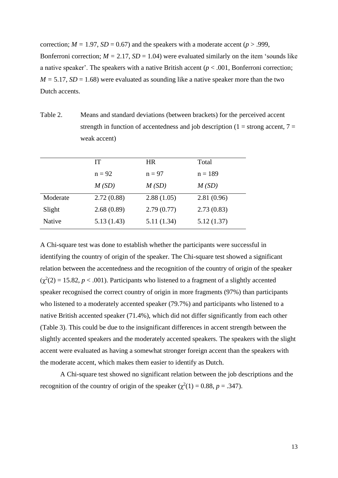correction;  $M = 1.97$ ,  $SD = 0.67$ ) and the speakers with a moderate accent ( $p > .999$ , Bonferroni correction;  $M = 2.17$ ,  $SD = 1.04$ ) were evaluated similarly on the item 'sounds like a native speaker'. The speakers with a native British accent  $(p < .001$ , Bonferroni correction;  $M = 5.17$ ,  $SD = 1.68$ ) were evaluated as sounding like a native speaker more than the two Dutch accents.

Table 2. Means and standard deviations (between brackets) for the perceived accent strength in function of accentedness and job description ( $1 =$  strong accent,  $7 =$ weak accent)

|          | IT         | <b>HR</b>  | Total      |
|----------|------------|------------|------------|
|          | $n = 92$   | $n = 97$   | $n = 189$  |
|          | M(SD)      | M(SD)      | M(SD)      |
| Moderate | 2.72(0.88) | 2.88(1.05) | 2.81(0.96) |
| Slight   | 2.68(0.89) | 2.79(0.77) | 2.73(0.83) |
| Native   | 5.13(1.43) | 5.11(1.34) | 5.12(1.37) |

A Chi-square test was done to establish whether the participants were successful in identifying the country of origin of the speaker. The Chi-square test showed a significant relation between the accentedness and the recognition of the country of origin of the speaker  $(\chi^2(2) = 15.82, p < .001)$ . Participants who listened to a fragment of a slightly accented speaker recognised the correct country of origin in more fragments (97%) than participants who listened to a moderately accented speaker (79.7%) and participants who listened to a native British accented speaker (71.4%), which did not differ significantly from each other (Table 3). This could be due to the insignificant differences in accent strength between the slightly accented speakers and the moderately accented speakers. The speakers with the slight accent were evaluated as having a somewhat stronger foreign accent than the speakers with the moderate accent, which makes them easier to identify as Dutch.

A Chi-square test showed no significant relation between the job descriptions and the recognition of the country of origin of the speaker  $(\chi^2(1) = 0.88, p = .347)$ .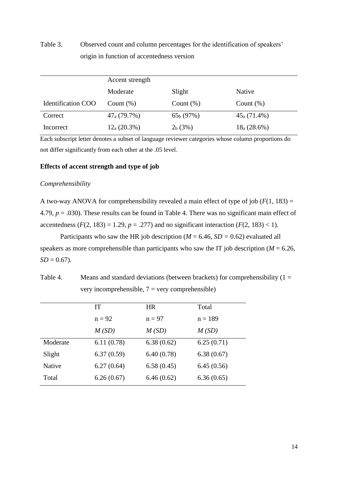Table 3. Observed count and column percentages for the identification of speakers' origin in function of accentedness version

|                           | Accent strength  |                     |                   |
|---------------------------|------------------|---------------------|-------------------|
|                           | Moderate         | Slight              | Native            |
| <b>Identification COO</b> | Count $(\%)$     | Count $(\%)$        | Count $(\%)$      |
| Correct                   | $47_{a}$ (79.7%) | $65b$ (97%)         | $45_{a}$ (71.4%)  |
| Incorrect                 | $12_{a}$ (20.3%) | 2 <sub>b</sub> (3%) | $18_{a} (28.6\%)$ |

Each subscript letter denotes a subset of language reviewer categories whose column proportions do not differ significantly from each other at the .05 level.

### **Effects of accent strength and type of job**

#### *Comprehensibility*

A two-way ANOVA for comprehensibility revealed a main effect of type of job  $(F(1, 183)) =$ 4.79, *p* = .030). These results can be found in Table 4. There was no significant main effect of accentedness  $(F(2, 183) = 1.29, p = .277)$  and no significant interaction  $(F(2, 183) < 1)$ .

Participants who saw the HR job description ( $M = 6.46$ ,  $SD = 0.62$ ) evaluated all speakers as more comprehensible than participants who saw the IT job description ( $M = 6.26$ ,  $SD = 0.67$ ).

Table 4. Means and standard deviations (between brackets) for comprehensibility  $(1 =$ very incomprehensible,  $7 = \text{very comprehensive}$ 

|          | <b>IT</b>  | <b>HR</b>  | Total      |
|----------|------------|------------|------------|
|          | $n = 92$   | $n = 97$   | $n = 189$  |
|          | M(SD)      | M(SD)      | M(SD)      |
| Moderate | 6.11(0.78) | 6.38(0.62) | 6.25(0.71) |
| Slight   | 6.37(0.59) | 6.40(0.78) | 6.38(0.67) |
| Native   | 6.27(0.64) | 6.58(0.45) | 6.45(0.56) |
| Total    | 6.26(0.67) | 6.46(0.62) | 6.36(0.65) |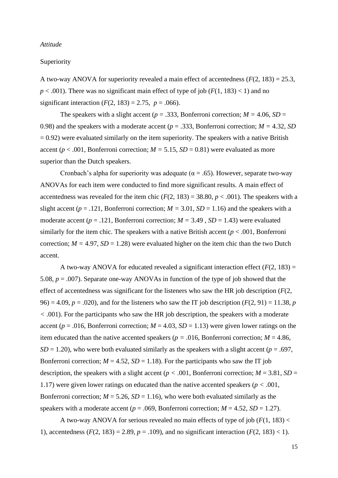#### *Attitude*

#### Superiority

A two-way ANOVA for superiority revealed a main effect of accentedness  $(F(2, 183) = 25.3,$  $p < .001$ ). There was no significant main effect of type of job ( $F(1, 183) < 1$ ) and no significant interaction  $(F(2, 183) = 2.75, p = .066)$ .

The speakers with a slight accent ( $p = .333$ , Bonferroni correction;  $M = 4.06$ ,  $SD =$ 0.98) and the speakers with a moderate accent (*p* = .333, Bonferroni correction; *M =* 4.32, *SD*   $= 0.92$ ) were evaluated similarly on the item superiority. The speakers with a native British accent ( $p < .001$ , Bonferroni correction;  $M = 5.15$ ,  $SD = 0.81$ ) were evaluated as more superior than the Dutch speakers.

Cronbach's alpha for superiority was adequate ( $\alpha = .65$ ). However, separate two-way ANOVAs for each item were conducted to find more significant results. A main effect of accentedness was revealed for the item chic  $(F(2, 183) = 38.80, p < .001)$ . The speakers with a slight accent ( $p = .121$ , Bonferroni correction;  $M = 3.01$ ,  $SD = 1.16$ ) and the speakers with a moderate accent ( $p = .121$ , Bonferroni correction;  $M = 3.49$ ,  $SD = 1.43$ ) were evaluated similarly for the item chic. The speakers with a native British accent  $(p < .001,$  Bonferroni correction;  $M = 4.97$ ,  $SD = 1.28$ ) were evaluated higher on the item chic than the two Dutch accent.

A two-way ANOVA for educated revealed a significant interaction effect  $(F(2, 183)) =$ 5.08, *p* = .007). Separate one-way ANOVAs in function of the type of job showed that the effect of accentedness was significant for the listeners who saw the HR job description (*F*(2, 96) = 4.09,  $p = .020$ , and for the listeners who saw the IT job description ( $F(2, 91) = 11.38$ ,  $p = .020$ ) *<* .001). For the participants who saw the HR job description, the speakers with a moderate accent ( $p = .016$ , Bonferroni correction;  $M = 4.03$ ,  $SD = 1.13$ ) were given lower ratings on the item educated than the native accented speakers ( $p = .016$ , Bonferroni correction;  $M = 4.86$ ,  $SD = 1.20$ ), who were both evaluated similarly as the speakers with a slight accent ( $p = .697$ , Bonferroni correction;  $M = 4.52$ ,  $SD = 1.18$ ). For the participants who saw the IT job description, the speakers with a slight accent ( $p < .001$ , Bonferroni correction;  $M = 3.81$ ,  $SD =$ 1.17) were given lower ratings on educated than the native accented speakers (*p <* .001, Bonferroni correction;  $M = 5.26$ ,  $SD = 1.16$ ), who were both evaluated similarly as the speakers with a moderate accent ( $p = .069$ , Bonferroni correction;  $M = 4.52$ ,  $SD = 1.27$ ).

A two-way ANOVA for serious revealed no main effects of type of job (*F*(1, 183) < 1), accentedness  $(F(2, 183) = 2.89, p = .109)$ , and no significant interaction  $(F(2, 183) < 1)$ .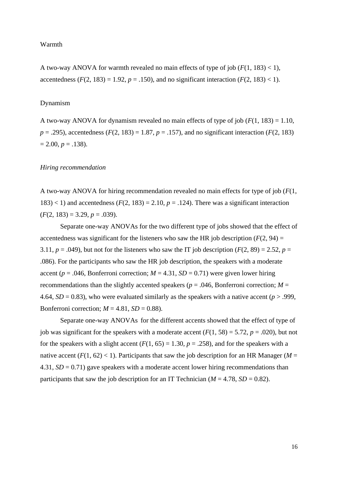#### Warmth

A two-way ANOVA for warmth revealed no main effects of type of job  $(F(1, 183) < 1)$ , accentedness  $(F(2, 183) = 1.92, p = .150)$ , and no significant interaction  $(F(2, 183) < 1)$ .

#### Dynamism

A two-way ANOVA for dynamism revealed no main effects of type of job (*F*(1, 183) = 1.10,  $p = .295$ ), accentedness (*F*(2, 183) = 1.87,  $p = .157$ ), and no significant interaction (*F*(2, 183)  $= 2.00, p = .138$ .

#### *Hiring recommendation*

A two-way ANOVA for hiring recommendation revealed no main effects for type of job (*F*(1,  $183$  < 1) and accentedness ( $F(2, 183) = 2.10$ ,  $p = .124$ ). There was a significant interaction  $(F(2, 183) = 3.29, p = .039)$ .

Separate one-way ANOVAs for the two different type of jobs showed that the effect of accentedness was significant for the listeners who saw the HR job description  $(F(2, 94) =$ 3.11,  $p = .049$ ), but not for the listeners who saw the IT job description ( $F(2, 89) = 2.52$ ,  $p =$ .086). For the participants who saw the HR job description, the speakers with a moderate accent ( $p = .046$ , Bonferroni correction;  $M = 4.31$ ,  $SD = 0.71$ ) were given lower hiring recommendations than the slightly accented speakers ( $p = .046$ , Bonferroni correction;  $M =$ 4.64,  $SD = 0.83$ ), who were evaluated similarly as the speakers with a native accent ( $p > .999$ , Bonferroni correction;  $M = 4.81$ ,  $SD = 0.88$ ).

Separate one-way ANOVAs for the different accents showed that the effect of type of job was significant for the speakers with a moderate accent  $(F(1, 58) = 5.72, p = .020)$ , but not for the speakers with a slight accent  $(F(1, 65) = 1.30, p = .258)$ , and for the speakers with a native accent  $(F(1, 62) < 1)$ . Participants that saw the job description for an HR Manager ( $M =$ 4.31,  $SD = 0.71$ ) gave speakers with a moderate accent lower hiring recommendations than participants that saw the job description for an IT Technician ( $M = 4.78$ ,  $SD = 0.82$ ).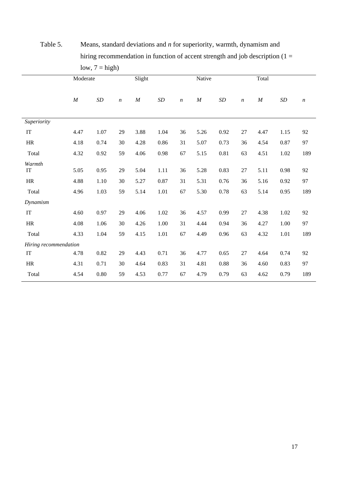|                       | 10W, T   | $ \mu_{\text{S}}$ $\mu$ |                  |          |           |                  |          |           |         |          |           |                  |
|-----------------------|----------|-------------------------|------------------|----------|-----------|------------------|----------|-----------|---------|----------|-----------|------------------|
|                       | Moderate |                         |                  | Slight   |           |                  | Native   |           |         | Total    |           |                  |
|                       | $\cal M$ | $\cal SD$               | $\boldsymbol{n}$ | $\cal M$ | $\cal SD$ | $\boldsymbol{n}$ | $\cal M$ | $\cal SD$ | $\it n$ | $\cal M$ | $\cal SD$ | $\boldsymbol{n}$ |
| Superiority           |          |                         |                  |          |           |                  |          |           |         |          |           |                  |
| $\operatorname{IT}$   | 4.47     | 1.07                    | 29               | 3.88     | 1.04      | 36               | 5.26     | 0.92      | 27      | 4.47     | 1.15      | 92               |
| HR                    | 4.18     | 0.74                    | 30               | 4.28     | 0.86      | 31               | 5.07     | 0.73      | 36      | 4.54     | 0.87      | 97               |
| Total                 | 4.32     | 0.92                    | 59               | 4.06     | 0.98      | 67               | 5.15     | $0.81\,$  | 63      | 4.51     | 1.02      | 189              |
| Warmth<br>IT          | 5.05     | 0.95                    | 29               | 5.04     | 1.11      | 36               | 5.28     | 0.83      | 27      | 5.11     | 0.98      | 92               |
| $\rm{HR}$             | 4.88     | 1.10                    | $30\,$           | 5.27     | 0.87      | 31               | 5.31     | 0.76      | 36      | 5.16     | 0.92      | 97               |
| Total                 | 4.96     | 1.03                    | 59               | 5.14     | 1.01      | 67               | 5.30     | 0.78      | 63      | 5.14     | 0.95      | 189              |
| Dynamism              |          |                         |                  |          |           |                  |          |           |         |          |           |                  |
| $\operatorname{IT}$   | 4.60     | 0.97                    | 29               | 4.06     | 1.02      | 36               | 4.57     | 0.99      | 27      | 4.38     | 1.02      | 92               |
| HR                    | 4.08     | 1.06                    | 30               | 4.26     | 1.00      | 31               | 4.44     | 0.94      | 36      | 4.27     | 1.00      | 97               |
| Total                 | 4.33     | 1.04                    | 59               | 4.15     | 1.01      | 67               | 4.49     | 0.96      | 63      | 4.32     | 1.01      | 189              |
| Hiring recommendation |          |                         |                  |          |           |                  |          |           |         |          |           |                  |
| $\operatorname{IT}$   | 4.78     | 0.82                    | 29               | 4.43     | 0.71      | 36               | 4.77     | 0.65      | 27      | 4.64     | 0.74      | 92               |
| HR                    | 4.31     | 0.71                    | 30               | 4.64     | 0.83      | 31               | 4.81     | 0.88      | 36      | 4.60     | 0.83      | 97               |
| Total                 | 4.54     | 0.80                    | 59               | 4.53     | 0.77      | 67               | 4.79     | 0.79      | 63      | 4.62     | 0.79      | 189              |

Table 5. Means, standard deviations and *n* for superiority, warmth, dynamism and hiring recommendation in function of accent strength and job description  $(1 =$  $low$ ,  $7 = high$ )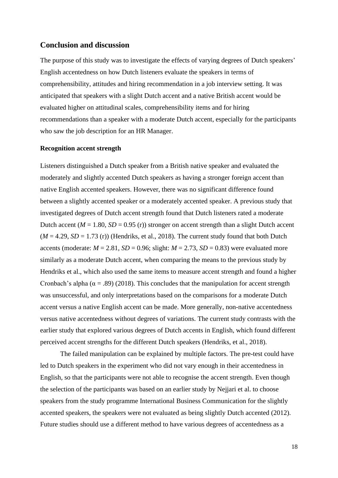### **Conclusion and discussion**

The purpose of this study was to investigate the effects of varying degrees of Dutch speakers' English accentedness on how Dutch listeners evaluate the speakers in terms of comprehensibility, attitudes and hiring recommendation in a job interview setting. It was anticipated that speakers with a slight Dutch accent and a native British accent would be evaluated higher on attitudinal scales, comprehensibility items and for hiring recommendations than a speaker with a moderate Dutch accent, especially for the participants who saw the job description for an HR Manager.

#### **Recognition accent strength**

Listeners distinguished a Dutch speaker from a British native speaker and evaluated the moderately and slightly accented Dutch speakers as having a stronger foreign accent than native English accented speakers. However, there was no significant difference found between a slightly accented speaker or a moderately accented speaker. A previous study that investigated degrees of Dutch accent strength found that Dutch listeners rated a moderate Dutch accent ( $M = 1.80$ ,  $SD = 0.95$  (r)) stronger on accent strength than a slight Dutch accent  $(M = 4.29, SD = 1.73$  (r)) (Hendriks, et al., 2018). The current study found that both Dutch accents (moderate:  $M = 2.81$ ,  $SD = 0.96$ ; slight:  $M = 2.73$ ,  $SD = 0.83$ ) were evaluated more similarly as a moderate Dutch accent, when comparing the means to the previous study by Hendriks et al., which also used the same items to measure accent strength and found a higher Cronbach's alpha ( $\alpha$  = .89) (2018). This concludes that the manipulation for accent strength was unsuccessful, and only interpretations based on the comparisons for a moderate Dutch accent versus a native English accent can be made. More generally, non-native accentedness versus native accentedness without degrees of variations. The current study contrasts with the earlier study that explored various degrees of Dutch accents in English, which found different perceived accent strengths for the different Dutch speakers (Hendriks, et al., 2018).

The failed manipulation can be explained by multiple factors. The pre-test could have led to Dutch speakers in the experiment who did not vary enough in their accentedness in English, so that the participants were not able to recognise the accent strength. Even though the selection of the participants was based on an earlier study by Nejjari et al. to choose speakers from the study programme International Business Communication for the slightly accented speakers, the speakers were not evaluated as being slightly Dutch accented (2012). Future studies should use a different method to have various degrees of accentedness as a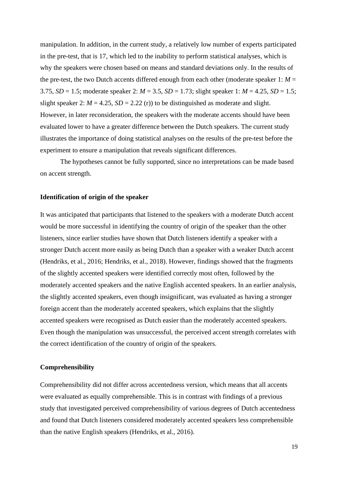manipulation. In addition, in the current study, a relatively low number of experts participated in the pre-test, that is 17, which led to the inability to perform statistical analyses, which is why the speakers were chosen based on means and standard deviations only. In the results of the pre-test, the two Dutch accents differed enough from each other (moderate speaker  $1: M =$ 3.75, *SD* = 1.5; moderate speaker 2: *M* = 3.5, *SD* = 1.73; slight speaker 1: *M* = 4.25, *SD* = 1.5; slight speaker 2:  $M = 4.25$ ,  $SD = 2.22$  (r)) to be distinguished as moderate and slight. However, in later reconsideration, the speakers with the moderate accents should have been evaluated lower to have a greater difference between the Dutch speakers. The current study illustrates the importance of doing statistical analyses on the results of the pre-test before the experiment to ensure a manipulation that reveals significant differences.

The hypotheses cannot be fully supported, since no interpretations can be made based on accent strength.

#### **Identification of origin of the speaker**

It was anticipated that participants that listened to the speakers with a moderate Dutch accent would be more successful in identifying the country of origin of the speaker than the other listeners, since earlier studies have shown that Dutch listeners identify a speaker with a stronger Dutch accent more easily as being Dutch than a speaker with a weaker Dutch accent (Hendriks, et al., 2016; Hendriks, et al., 2018). However, findings showed that the fragments of the slightly accented speakers were identified correctly most often, followed by the moderately accented speakers and the native English accented speakers. In an earlier analysis, the slightly accented speakers, even though insignificant, was evaluated as having a stronger foreign accent than the moderately accented speakers, which explains that the slightly accented speakers were recognised as Dutch easier than the moderately accented speakers. Even though the manipulation was unsuccessful, the perceived accent strength correlates with the correct identification of the country of origin of the speakers.

#### **Comprehensibility**

Comprehensibility did not differ across accentedness version, which means that all accents were evaluated as equally comprehensible. This is in contrast with findings of a previous study that investigated perceived comprehensibility of various degrees of Dutch accentedness and found that Dutch listeners considered moderately accented speakers less comprehensible than the native English speakers (Hendriks, et al., 2016).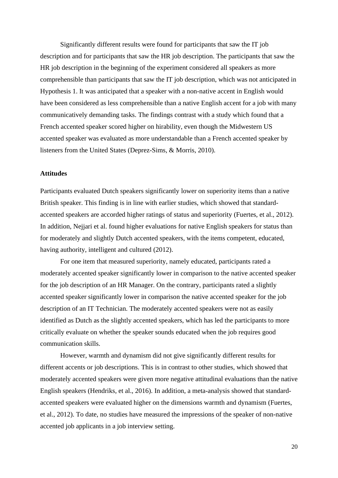Significantly different results were found for participants that saw the IT job description and for participants that saw the HR job description. The participants that saw the HR job description in the beginning of the experiment considered all speakers as more comprehensible than participants that saw the IT job description, which was not anticipated in Hypothesis 1. It was anticipated that a speaker with a non-native accent in English would have been considered as less comprehensible than a native English accent for a job with many communicatively demanding tasks. The findings contrast with a study which found that a French accented speaker scored higher on hirability, even though the Midwestern US accented speaker was evaluated as more understandable than a French accented speaker by listeners from the United States (Deprez-Sims, & Morris, 2010).

#### **Attitudes**

Participants evaluated Dutch speakers significantly lower on superiority items than a native British speaker. This finding is in line with earlier studies, which showed that standardaccented speakers are accorded higher ratings of status and superiority (Fuertes, et al., 2012). In addition, Nejjari et al. found higher evaluations for native English speakers for status than for moderately and slightly Dutch accented speakers, with the items competent, educated, having authority, intelligent and cultured (2012).

For one item that measured superiority, namely educated, participants rated a moderately accented speaker significantly lower in comparison to the native accented speaker for the job description of an HR Manager. On the contrary, participants rated a slightly accented speaker significantly lower in comparison the native accented speaker for the job description of an IT Technician. The moderately accented speakers were not as easily identified as Dutch as the slightly accented speakers, which has led the participants to more critically evaluate on whether the speaker sounds educated when the job requires good communication skills.

However, warmth and dynamism did not give significantly different results for different accents or job descriptions. This is in contrast to other studies, which showed that moderately accented speakers were given more negative attitudinal evaluations than the native English speakers (Hendriks, et al., 2016). In addition, a meta-analysis showed that standardaccented speakers were evaluated higher on the dimensions warmth and dynamism (Fuertes, et al., 2012). To date, no studies have measured the impressions of the speaker of non-native accented job applicants in a job interview setting.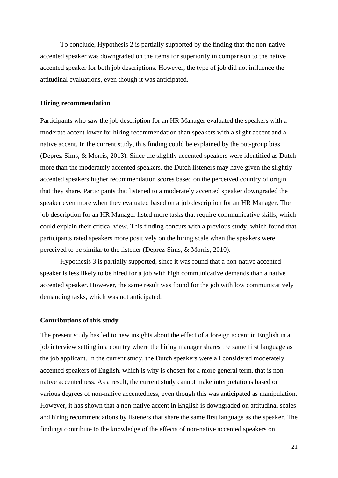To conclude, Hypothesis 2 is partially supported by the finding that the non-native accented speaker was downgraded on the items for superiority in comparison to the native accented speaker for both job descriptions. However, the type of job did not influence the attitudinal evaluations, even though it was anticipated.

#### **Hiring recommendation**

Participants who saw the job description for an HR Manager evaluated the speakers with a moderate accent lower for hiring recommendation than speakers with a slight accent and a native accent. In the current study, this finding could be explained by the out-group bias (Deprez-Sims, & Morris, 2013). Since the slightly accented speakers were identified as Dutch more than the moderately accented speakers, the Dutch listeners may have given the slightly accented speakers higher recommendation scores based on the perceived country of origin that they share. Participants that listened to a moderately accented speaker downgraded the speaker even more when they evaluated based on a job description for an HR Manager. The job description for an HR Manager listed more tasks that require communicative skills, which could explain their critical view. This finding concurs with a previous study, which found that participants rated speakers more positively on the hiring scale when the speakers were perceived to be similar to the listener (Deprez-Sims, & Morris, 2010).

Hypothesis 3 is partially supported, since it was found that a non-native accented speaker is less likely to be hired for a job with high communicative demands than a native accented speaker. However, the same result was found for the job with low communicatively demanding tasks, which was not anticipated.

#### **Contributions of this study**

The present study has led to new insights about the effect of a foreign accent in English in a job interview setting in a country where the hiring manager shares the same first language as the job applicant. In the current study, the Dutch speakers were all considered moderately accented speakers of English, which is why is chosen for a more general term, that is nonnative accentedness. As a result, the current study cannot make interpretations based on various degrees of non-native accentedness, even though this was anticipated as manipulation. However, it has shown that a non-native accent in English is downgraded on attitudinal scales and hiring recommendations by listeners that share the same first language as the speaker. The findings contribute to the knowledge of the effects of non-native accented speakers on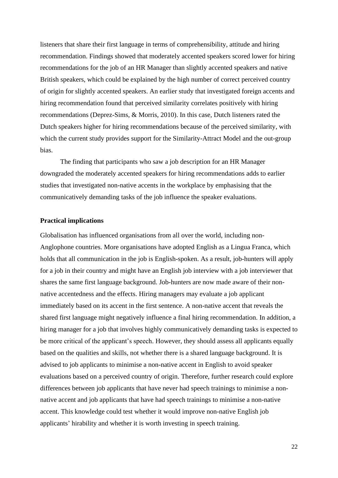listeners that share their first language in terms of comprehensibility, attitude and hiring recommendation. Findings showed that moderately accented speakers scored lower for hiring recommendations for the job of an HR Manager than slightly accented speakers and native British speakers, which could be explained by the high number of correct perceived country of origin for slightly accented speakers. An earlier study that investigated foreign accents and hiring recommendation found that perceived similarity correlates positively with hiring recommendations (Deprez-Sims, & Morris, 2010). In this case, Dutch listeners rated the Dutch speakers higher for hiring recommendations because of the perceived similarity, with which the current study provides support for the Similarity-Attract Model and the out-group bias.

The finding that participants who saw a job description for an HR Manager downgraded the moderately accented speakers for hiring recommendations adds to earlier studies that investigated non-native accents in the workplace by emphasising that the communicatively demanding tasks of the job influence the speaker evaluations.

#### **Practical implications**

Globalisation has influenced organisations from all over the world, including non-Anglophone countries. More organisations have adopted English as a Lingua Franca, which holds that all communication in the job is English-spoken. As a result, job-hunters will apply for a job in their country and might have an English job interview with a job interviewer that shares the same first language background. Job-hunters are now made aware of their nonnative accentedness and the effects. Hiring managers may evaluate a job applicant immediately based on its accent in the first sentence. A non-native accent that reveals the shared first language might negatively influence a final hiring recommendation. In addition, a hiring manager for a job that involves highly communicatively demanding tasks is expected to be more critical of the applicant's speech. However, they should assess all applicants equally based on the qualities and skills, not whether there is a shared language background. It is advised to job applicants to minimise a non-native accent in English to avoid speaker evaluations based on a perceived country of origin. Therefore, further research could explore differences between job applicants that have never had speech trainings to minimise a nonnative accent and job applicants that have had speech trainings to minimise a non-native accent. This knowledge could test whether it would improve non-native English job applicants' hirability and whether it is worth investing in speech training.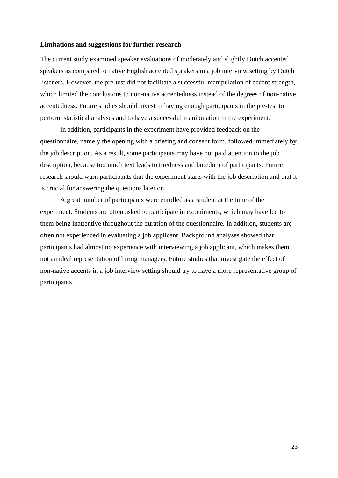#### **Limitations and suggestions for further research**

The current study examined speaker evaluations of moderately and slightly Dutch accented speakers as compared to native English accented speakers in a job interview setting by Dutch listeners. However, the pre-test did not facilitate a successful manipulation of accent strength, which limited the conclusions to non-native accentedness instead of the degrees of non-native accentedness. Future studies should invest in having enough participants in the pre-test to perform statistical analyses and to have a successful manipulation in the experiment.

In addition, participants in the experiment have provided feedback on the questionnaire, namely the opening with a briefing and consent form, followed immediately by the job description. As a result, some participants may have not paid attention to the job description, because too much text leads to tiredness and boredom of participants. Future research should warn participants that the experiment starts with the job description and that it is crucial for answering the questions later on.

A great number of participants were enrolled as a student at the time of the experiment. Students are often asked to participate in experiments, which may have led to them being inattentive throughout the duration of the questionnaire. In addition, students are often not experienced in evaluating a job applicant. Background analyses showed that participants had almost no experience with interviewing a job applicant, which makes them not an ideal representation of hiring managers. Future studies that investigate the effect of non-native accents in a job interview setting should try to have a more representative group of participants.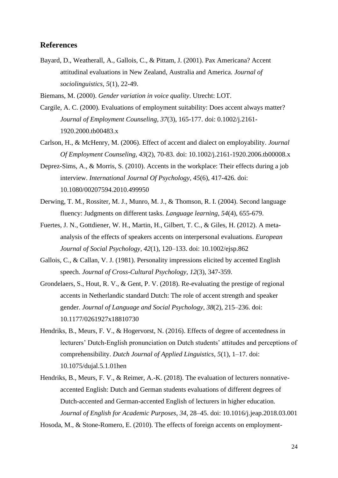### **References**

Bayard, D., Weatherall, A., Gallois, C., & Pittam, J. (2001). Pax Americana? Accent attitudinal evaluations in New Zealand, Australia and America. *Journal of sociolinguistics, 5*(1), 22-49.

Biemans, M. (2000). *Gender variation in voice quality*. Utrecht: LOT.

- Cargile, A. C. (2000). Evaluations of employment suitability: Does accent always matter? *Journal of Employment Counseling, 37*(3), 165-177. doi: 0.1002/j.2161- 1920.2000.tb00483.x
- Carlson, H., & McHenry, M. (2006). Effect of accent and dialect on employability. *Journal Of Employment Counseling, 43*(2), 70-83. doi: 10.1002/j.2161-1920.2006.tb00008.x
- Deprez-Sims, A., & Morris, S. (2010). Accents in the workplace: Their effects during a job interview. *International Journal Of Psychology*, *45*(6), 417-426. doi: 10.1080/00207594.2010.499950
- Derwing, T. M., Rossiter, M. J., Munro, M. J., & Thomson, R. I. (2004). Second language fluency: Judgments on different tasks. *Language learning, 54*(4), 655-679.
- Fuertes, J. N., Gottdiener, W. H., Martin, H., Gilbert, T. C., & Giles, H. (2012). A metaanalysis of the effects of speakers accents on interpersonal evaluations. *European Journal of Social Psychology*, *42*(1), 120–133. doi: 10.1002/ejsp.862
- Gallois, C., & Callan, V. J. (1981). Personality impressions elicited by accented English speech. *Journal of Cross-Cultural Psychology, 12*(3), 347-359.
- Grondelaers, S., Hout, R. V., & Gent, P. V. (2018). Re-evaluating the prestige of regional accents in Netherlandic standard Dutch: The role of accent strength and speaker gender. *Journal of Language and Social Psychology*, *38*(2), 215–236. doi: 10.1177/0261927x18810730
- Hendriks, B., Meurs, F. V., & Hogervorst, N. (2016). Effects of degree of accentedness in lecturers' Dutch-English pronunciation on Dutch students' attitudes and perceptions of comprehensibility. *Dutch Journal of Applied Linguistics*, *5*(1), 1–17. doi: 10.1075/dujal.5.1.01hen
- Hendriks, B., Meurs, F. V., & Reimer, A.-K. (2018). The evaluation of lecturers nonnativeaccented English: Dutch and German students evaluations of different degrees of Dutch-accented and German-accented English of lecturers in higher education. *Journal of English for Academic Purposes*, *34*, 28–45. doi: 10.1016/j.jeap.2018.03.001

Hosoda, M., & Stone-Romero, E. (2010). The effects of foreign accents on employment-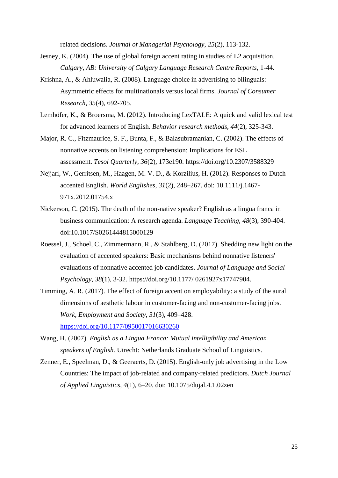related decisions. *Journal of Managerial Psychology*, *25*(2), 113-132.

- Jesney, K. (2004). The use of global foreign accent rating in studies of L2 acquisition. *Calgary, AB: University of Calgary Language Research Centre Reports,* 1-44.
- Krishna, A., & Ahluwalia, R. (2008). Language choice in advertising to bilinguals: Asymmetric effects for multinationals versus local firms. *Journal of Consumer Research, 35*(4), 692-705.
- Lemhöfer, K., & Broersma, M. (2012). Introducing LexTALE: A quick and valid lexical test for advanced learners of English. *Behavior research methods, 44*(2), 325-343.
- Major, R. C., Fitzmaurice, S. F., Bunta, F., & Balasubramanian, C. (2002). The effects of nonnative accents on listening comprehension: Implications for ESL assessment. *Tesol Quarterly, 36*(2), 173e190. https://doi.org/10.2307/3588329
- Nejjari, W., Gerritsen, M., Haagen, M. V. D., & Korzilius, H. (2012). Responses to Dutchaccented English. *World Englishes*, *31*(2), 248–267. doi: 10.1111/j.1467- 971x.2012.01754.x
- Nickerson, C. (2015). The death of the non-native speaker? English as a lingua franca in business communication: A research agenda. *Language Teaching, 48*(3), 390-404. doi:10.1017/S0261444815000129
- Roessel, J., Schoel, C., Zimmermann, R., & Stahlberg, D. (2017). Shedding new light on the evaluation of accented speakers: Basic mechanisms behind nonnative listeners' evaluations of nonnative accented job candidates. *Journal of Language and Social Psychology, 38*(1), 3-32. https://doi.org/10.1177/ 0261927x17747904.
- Timming, A. R. (2017). The effect of foreign accent on employability: a study of the aural dimensions of aesthetic labour in customer-facing and non-customer-facing jobs. *Work, Employment and Society*, *31*(3), 409–428. <https://doi.org/10.1177/0950017016630260>
- Wang, H. (2007). *English as a Lingua Franca: Mutual intelligibility and American speakers of English.* Utrecht: Netherlands Graduate School of Linguistics.
- Zenner, E., Speelman, D., & Geeraerts, D. (2015). English-only job advertising in the Low Countries: The impact of job-related and company-related predictors. *Dutch Journal of Applied Linguistics*, *4*(1), 6–20. doi: 10.1075/dujal.4.1.02zen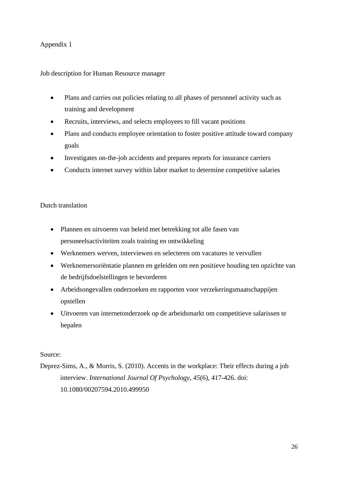### Job description for Human Resource manager

- Plans and carries out policies relating to all phases of personnel activity such as training and development
- Recruits, interviews, and selects employees to fill vacant positions
- Plans and conducts employee orientation to foster positive attitude toward company goals
- Investigates on-the-job accidents and prepares reports for insurance carriers
- Conducts internet survey within labor market to determine competitive salaries

### Dutch translation

- Plannen en uitvoeren van beleid met betrekking tot alle fasen van personeelsactiviteiten zoals training en ontwikkeling
- Werknemers werven, interviewen en selecteren om vacatures te vervullen
- Werknemersoriëntatie plannen en geleiden om een positieve houding ten opzichte van de bedrijfsdoelstellingen te bevorderen
- Arbeidsongevallen onderzoeken en rapporten voor verzekeringsmaatschappijen opstellen
- Uitvoeren van internetonderzoek op de arbeidsmarkt om competitieve salarissen te bepalen

#### Source:

Deprez-Sims, A., & Morris, S. (2010). Accents in the workplace: Their effects during a job interview. *International Journal Of Psychology*, *45*(6), 417-426. doi: 10.1080/00207594.2010.499950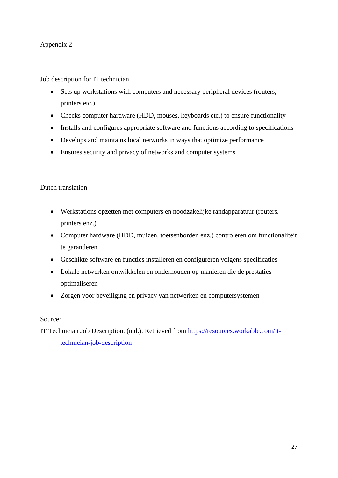Job description for IT technician

- Sets up workstations with computers and necessary peripheral devices (routers, printers etc.)
- Checks computer hardware (HDD, mouses, keyboards etc.) to ensure functionality
- Installs and configures appropriate software and functions according to specifications
- Develops and maintains local networks in ways that optimize performance
- Ensures security and privacy of networks and computer systems

### Dutch translation

- Werkstations opzetten met computers en noodzakelijke randapparatuur (routers, printers enz.)
- Computer hardware (HDD, muizen, toetsenborden enz.) controleren om functionaliteit te garanderen
- Geschikte software en functies installeren en configureren volgens specificaties
- Lokale netwerken ontwikkelen en onderhouden op manieren die de prestaties optimaliseren
- Zorgen voor beveiliging en privacy van netwerken en computersystemen

### Source:

IT Technician Job Description. (n.d.). Retrieved from [https://resources.workable.com/it](https://resources.workable.com/it-%09technician-job-description)[technician-job-description](https://resources.workable.com/it-%09technician-job-description)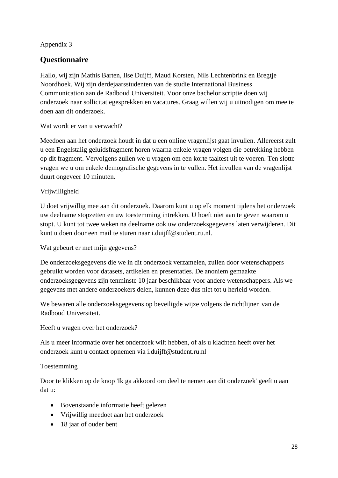## **Questionnaire**

Hallo, wij zijn Mathis Barten, Ilse Duijff, Maud Korsten, Nils Lechtenbrink en Bregtje Noordhoek. Wij zijn derdejaarsstudenten van de studie International Business Communication aan de Radboud Universiteit. Voor onze bachelor scriptie doen wij onderzoek naar sollicitatiegesprekken en vacatures. Graag willen wij u uitnodigen om mee te doen aan dit onderzoek.

Wat wordt er van u verwacht?

Meedoen aan het onderzoek houdt in dat u een online vragenlijst gaat invullen. Allereerst zult u een Engelstalig geluidsfragment horen waarna enkele vragen volgen die betrekking hebben op dit fragment. Vervolgens zullen we u vragen om een korte taaltest uit te voeren. Ten slotte vragen we u om enkele demografische gegevens in te vullen. Het invullen van de vragenlijst duurt ongeveer 10 minuten.

### Vrijwilligheid

U doet vrijwillig mee aan dit onderzoek. Daarom kunt u op elk moment tijdens het onderzoek uw deelname stopzetten en uw toestemming intrekken. U hoeft niet aan te geven waarom u stopt. U kunt tot twee weken na deelname ook uw onderzoeksgegevens laten verwijderen. Dit kunt u doen door een mail te sturen naar i.duijff@student.ru.nl.

Wat gebeurt er met mijn gegevens?

De onderzoeksgegevens die we in dit onderzoek verzamelen, zullen door wetenschappers gebruikt worden voor datasets, artikelen en presentaties. De anoniem gemaakte onderzoeksgegevens zijn tenminste 10 jaar beschikbaar voor andere wetenschappers. Als we gegevens met andere onderzoekers delen, kunnen deze dus niet tot u herleid worden.

We bewaren alle onderzoeksgegevens op beveiligde wijze volgens de richtlijnen van de Radboud Universiteit.

Heeft u vragen over het onderzoek?

Als u meer informatie over het onderzoek wilt hebben, of als u klachten heeft over het onderzoek kunt u contact opnemen via i.duijff@student.ru.nl

### Toestemming

Door te klikken op de knop 'Ik ga akkoord om deel te nemen aan dit onderzoek' geeft u aan dat u:

- Bovenstaande informatie heeft gelezen
- Vrijwillig meedoet aan het onderzoek
- 18 jaar of ouder bent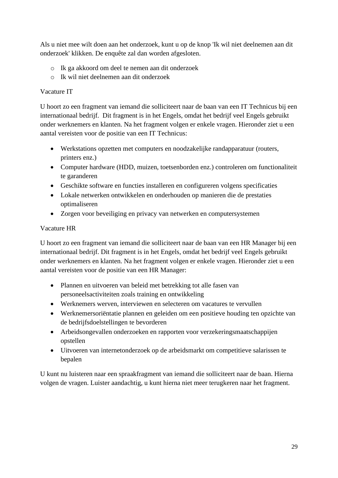Als u niet mee wilt doen aan het onderzoek, kunt u op de knop 'Ik wil niet deelnemen aan dit onderzoek' klikken. De enquête zal dan worden afgesloten.

- o Ik ga akkoord om deel te nemen aan dit onderzoek
- o Ik wil niet deelnemen aan dit onderzoek

### Vacature IT

U hoort zo een fragment van iemand die solliciteert naar de baan van een IT Technicus bij een internationaal bedrijf. Dit fragment is in het Engels, omdat het bedrijf veel Engels gebruikt onder werknemers en klanten. Na het fragment volgen er enkele vragen. Hieronder ziet u een aantal vereisten voor de positie van een IT Technicus:

- Werkstations opzetten met computers en noodzakelijke randapparatuur (routers, printers enz.)
- Computer hardware (HDD, muizen, toetsenborden enz.) controleren om functionaliteit te garanderen
- Geschikte software en functies installeren en configureren volgens specificaties
- Lokale netwerken ontwikkelen en onderhouden op manieren die de prestaties optimaliseren
- Zorgen voor beveiliging en privacy van netwerken en computersystemen

### Vacature HR

U hoort zo een fragment van iemand die solliciteert naar de baan van een HR Manager bij een internationaal bedrijf. Dit fragment is in het Engels, omdat het bedrijf veel Engels gebruikt onder werknemers en klanten. Na het fragment volgen er enkele vragen. Hieronder ziet u een aantal vereisten voor de positie van een HR Manager:

- Plannen en uitvoeren van beleid met betrekking tot alle fasen van personeelsactiviteiten zoals training en ontwikkeling
- Werknemers werven, interviewen en selecteren om vacatures te vervullen
- Werknemersoriëntatie plannen en geleiden om een positieve houding ten opzichte van de bedrijfsdoelstellingen te bevorderen
- Arbeidsongevallen onderzoeken en rapporten voor verzekeringsmaatschappijen opstellen
- Uitvoeren van internetonderzoek op de arbeidsmarkt om competitieve salarissen te bepalen

U kunt nu luisteren naar een spraakfragment van iemand die solliciteert naar de baan. Hierna volgen de vragen. Luister aandachtig, u kunt hierna niet meer terugkeren naar het fragment.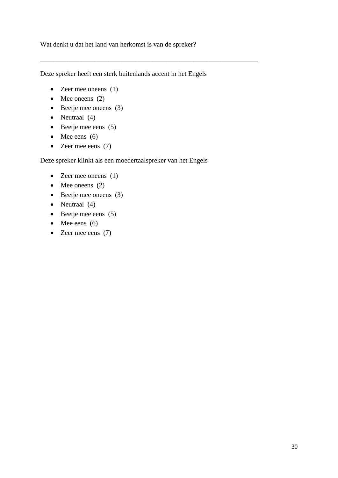Wat denkt u dat het land van herkomst is van de spreker?

Deze spreker heeft een sterk buitenlands accent in het Engels

\_\_\_\_\_\_\_\_\_\_\_\_\_\_\_\_\_\_\_\_\_\_\_\_\_\_\_\_\_\_\_\_\_\_\_\_\_\_\_\_\_\_\_\_\_\_\_\_\_\_\_\_\_\_\_\_\_\_\_\_\_\_\_\_

- Zeer mee oneens (1)
- Mee oneens  $(2)$
- Beetje mee oneens (3)
- Neutraal (4)
- Beetje mee eens (5)
- Mee eens  $(6)$
- Zeer mee eens (7)

Deze spreker klinkt als een moedertaalspreker van het Engels

- Zeer mee oneens (1)
- Mee oneens  $(2)$
- Beetje mee oneens (3)
- Neutraal (4)
- Beetje mee eens (5)
- Mee eens  $(6)$
- Zeer mee eens (7)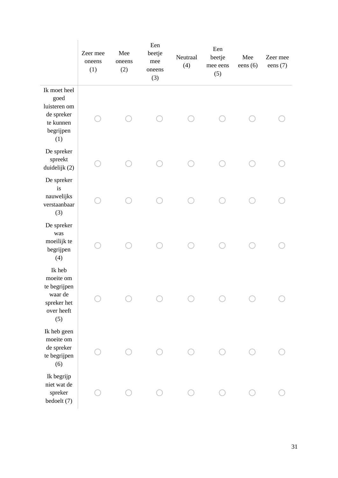|                                                                                     | Zeer mee<br>oneens<br>(1) | Mee<br>oneens<br>(2) | Een<br>beetje<br>mee<br>oneens<br>(3) | Neutraal<br>(4) | Een<br>beetje<br>mee eens<br>(5) | Mee<br>eens $(6)$ | Zeer mee<br>eens $(7)$ |
|-------------------------------------------------------------------------------------|---------------------------|----------------------|---------------------------------------|-----------------|----------------------------------|-------------------|------------------------|
| Ik moet heel<br>goed<br>luisteren om<br>de spreker<br>te kunnen<br>begrijpen<br>(1) |                           |                      |                                       |                 |                                  |                   |                        |
| De spreker<br>spreekt<br>duidelijk (2)                                              |                           |                      |                                       |                 |                                  |                   |                        |
| De spreker<br>is<br>nauwelijks<br>verstaanbaar<br>(3)                               |                           |                      |                                       |                 |                                  |                   |                        |
| De spreker<br>was<br>moeilijk te<br>begrijpen<br>(4)                                |                           |                      |                                       |                 |                                  |                   |                        |
| Ik heb<br>moeite om<br>te begrijpen<br>waar de<br>spreker het<br>over heeft<br>(5)  |                           |                      |                                       |                 |                                  |                   |                        |
| Ik heb geen<br>moeite om<br>de spreker<br>te begrijpen<br>(6)                       |                           |                      |                                       |                 |                                  |                   |                        |
| Ik begrijp<br>niet wat de<br>${\rm spreker}$<br>bedoelt (7)                         |                           |                      |                                       |                 |                                  |                   |                        |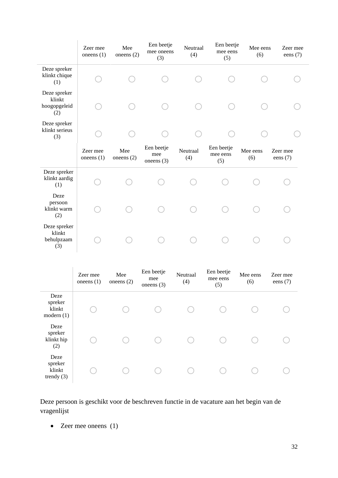|                                               | Zeer mee<br>oneens $(1)$ | Mee<br>oneens $(2)$ | Een beetje<br>mee oneens<br>(3)   | Neutraal<br>(4) | Een beetje<br>mee eens<br>(5) | Mee eens<br>(6) | Zeer mee<br>eens $(7)$ |
|-----------------------------------------------|--------------------------|---------------------|-----------------------------------|-----------------|-------------------------------|-----------------|------------------------|
| Deze spreker<br>klinkt chique<br>(1)          |                          |                     |                                   |                 |                               |                 |                        |
| Deze spreker<br>klinkt<br>hoogopgeleid<br>(2) |                          |                     |                                   |                 |                               |                 |                        |
| Deze spreker<br>klinkt serieus<br>(3)         |                          |                     |                                   |                 |                               |                 |                        |
|                                               | Zeer mee<br>oneens $(1)$ | Mee<br>oneens $(2)$ | Een beetje<br>mee<br>oneens $(3)$ | Neutraal<br>(4) | Een beetje<br>mee eens<br>(5) | Mee eens<br>(6) | Zeer mee<br>eens $(7)$ |
| Deze spreker<br>klinkt aardig<br>(1)          |                          |                     |                                   |                 |                               |                 |                        |
| Deze<br>persoon<br>klinkt warm<br>(2)         |                          |                     |                                   |                 |                               |                 |                        |
| Deze spreker<br>klinkt<br>behulpzaam<br>(3)   |                          |                     |                                   |                 |                               |                 |                        |

|                                           | Zeer mee<br>one ens $(1)$ | Mee<br>one ens $(2)$ | Een beetje<br>mee<br>oneens $(3)$ | Neutraal<br>(4) | Een beetje<br>mee eens<br>(5) | Mee eens<br>(6) | Zeer mee<br>eens $(7)$ |
|-------------------------------------------|---------------------------|----------------------|-----------------------------------|-----------------|-------------------------------|-----------------|------------------------|
| Deze<br>spreker<br>klinkt<br>modern(1)    |                           |                      |                                   |                 |                               |                 |                        |
| Deze<br>spreker<br>klinkt hip<br>(2)      |                           |                      |                                   |                 |                               |                 |                        |
| Deze<br>spreker<br>klinkt<br>trendy $(3)$ |                           |                      |                                   |                 |                               |                 |                        |

Deze persoon is geschikt voor de beschreven functie in de vacature aan het begin van de vragenlijst

• Zeer mee oneens (1)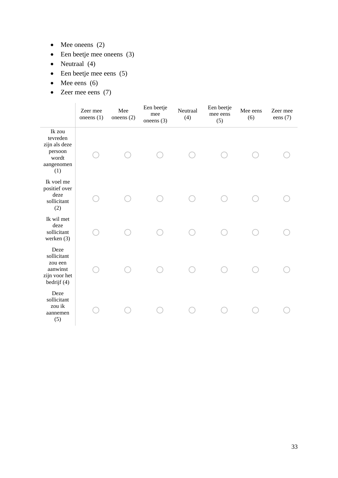- Mee oneens  $(2)$
- Een beetje mee oneens (3)
- Neutraal (4)
- Een beetje mee eens (5)
- Mee eens  $(6)$
- Zeer mee eens (7)

|                                                                              | Zeer mee<br>oneens $(1)$ | Mee<br>oneens $(2)$ | Een beetje<br>mee<br>oneens $(3)$ | Neutraal<br>(4) | Een beetje<br>mee eens<br>(5) | Mee eens<br>(6) | Zeer mee<br>eens $(7)$ |
|------------------------------------------------------------------------------|--------------------------|---------------------|-----------------------------------|-----------------|-------------------------------|-----------------|------------------------|
| Ik zou<br>tevreden<br>zijn als deze<br>persoon<br>wordt<br>aangenomen<br>(1) |                          |                     |                                   |                 |                               |                 |                        |
| Ik voel me<br>positief over<br>deze<br>sollicitant<br>(2)                    |                          |                     |                                   |                 |                               |                 |                        |
| Ik wil met<br>deze<br>sollicitant<br>werken (3)                              |                          |                     |                                   |                 |                               |                 |                        |
| Deze<br>sollicitant<br>zou een<br>aanwinst<br>zijn voor het<br>bedrijf (4)   |                          |                     |                                   |                 |                               |                 |                        |
| Deze<br>sollicitant<br>zou ik<br>aannemen<br>(5)                             |                          |                     |                                   |                 |                               |                 |                        |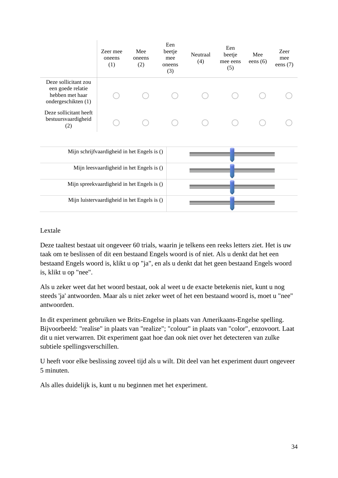|                                                                                     | Zeer mee<br>oneens<br>(1)                   | Mee<br>oneens<br>(2) | Een<br>beetje<br>mee<br>oneens<br>(3) | Neutraal<br>(4) | Een<br>beetje<br>mee eens<br>(5) | Mee<br>eens $(6)$ | Zeer<br>mee<br>eens $(7)$ |
|-------------------------------------------------------------------------------------|---------------------------------------------|----------------------|---------------------------------------|-----------------|----------------------------------|-------------------|---------------------------|
| Deze sollicitant zou<br>een goede relatie<br>hebben met haar<br>ondergeschikten (1) |                                             |                      |                                       |                 |                                  |                   |                           |
| Deze sollicitant heeft<br>bestuursvaardigheid<br>(2)                                |                                             |                      |                                       |                 |                                  |                   |                           |
|                                                                                     | Mijn schrijfvaardigheid in het Engels is () |                      |                                       |                 |                                  |                   |                           |
|                                                                                     | Mijn leesvaardigheid in het Engels is ()    |                      |                                       |                 |                                  |                   |                           |
|                                                                                     | Mijn spreekvaardigheid in het Engels is ()  |                      |                                       |                 |                                  |                   |                           |
|                                                                                     | Mijn luistervaardigheid in het Engels is () |                      |                                       |                 |                                  |                   |                           |

### Lextale

Deze taaltest bestaat uit ongeveer 60 trials, waarin je telkens een reeks letters ziet. Het is uw taak om te beslissen of dit een bestaand Engels woord is of niet. Als u denkt dat het een bestaand Engels woord is, klikt u op "ja", en als u denkt dat het geen bestaand Engels woord is, klikt u op "nee".

Als u zeker weet dat het woord bestaat, ook al weet u de exacte betekenis niet, kunt u nog steeds 'ja' antwoorden. Maar als u niet zeker weet of het een bestaand woord is, moet u "nee" antwoorden.

In dit experiment gebruiken we Brits-Engelse in plaats van Amerikaans-Engelse spelling. Bijvoorbeeld: "realise" in plaats van "realize"; "colour" in plaats van "color", enzovoort. Laat dit u niet verwarren. Dit experiment gaat hoe dan ook niet over het detecteren van zulke subtiele spellingsverschillen.

U heeft voor elke beslissing zoveel tijd als u wilt. Dit deel van het experiment duurt ongeveer 5 minuten.

Als alles duidelijk is, kunt u nu beginnen met het experiment.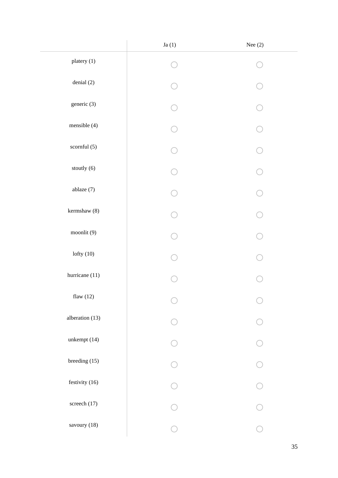|                 | Ja $(1)$ | Nee $(2)$ |
|-----------------|----------|-----------|
| platery (1)     |          |           |
| denial $(2)$    |          |           |
| generic $(3)$   |          |           |
| mensible (4)    |          |           |
| scornful $(5)$  |          |           |
| stoutly $(6)$   |          |           |
| ablaze (7)      |          |           |
| kermshaw (8)    |          |           |
| moonlit (9)     |          |           |
| lofty $(10)$    |          |           |
| hurricane (11)  |          |           |
| flaw $(12)$     |          |           |
| alberation (13) |          |           |
| unkempt (14)    |          |           |
| breeding $(15)$ |          |           |
| festivity (16)  |          |           |
| screech (17)    |          |           |
| savoury (18)    |          |           |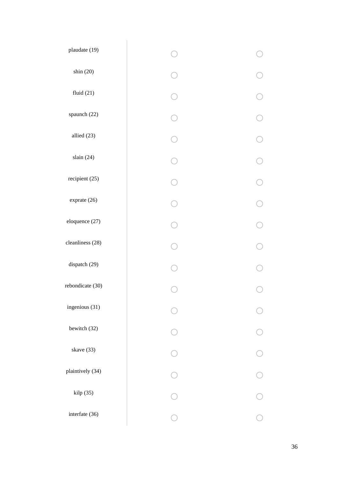| $\checkmark$ | $\checkmark$ |
|--------------|--------------|
|              |              |
|              |              |
|              |              |
|              |              |
|              |              |
|              |              |
|              |              |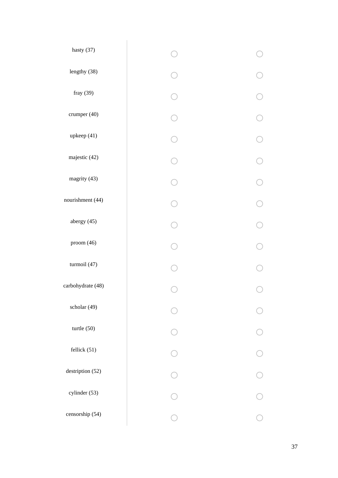| hasty (37)        |  |
|-------------------|--|
| lengthy (38)      |  |
| fray (39)         |  |
| crumper (40)      |  |
| upkeep (41)       |  |
| majestic (42)     |  |
| magrity (43)      |  |
| nourishment (44)  |  |
| abergy (45)       |  |
| proom (46)        |  |
| turmoil (47)      |  |
| carbohydrate (48) |  |
| scholar (49)      |  |
| turtle (50)       |  |
| fellick $(51)$    |  |
| destription (52)  |  |
| cylinder (53)     |  |
| censorship (54)   |  |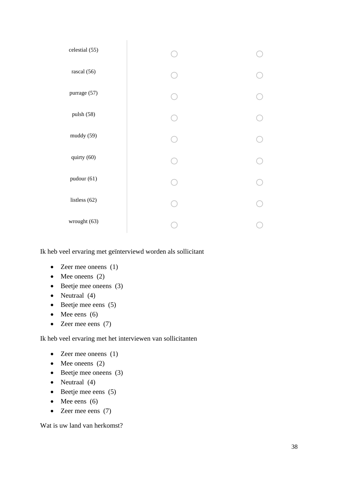| celestial (55) |  |
|----------------|--|
| rascal (56)    |  |
| purrage (57)   |  |
| pulsh (58)     |  |
| muddy (59)     |  |
| quirty (60)    |  |
| pudour (61)    |  |
| listless (62)  |  |
| wrought (63)   |  |

Ik heb veel ervaring met geïnterviewd worden als sollicitant

- Zeer mee oneens (1)
- Mee oneens  $(2)$
- Beetje mee oneens (3)
- Neutraal (4)
- Beetje mee eens (5)
- Mee eens  $(6)$
- Zeer mee eens (7)

Ik heb veel ervaring met het interviewen van sollicitanten

- Zeer mee oneens (1)
- Mee oneens  $(2)$
- Beetje mee oneens (3)
- Neutraal (4)
- Beetje mee eens (5)
- Mee eens  $(6)$
- Zeer mee eens (7)

Wat is uw land van herkomst?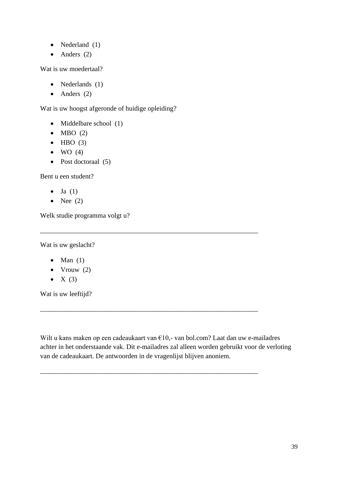- Nederland (1)
- Anders  $(2)$

Wat is uw moedertaal?

- Nederlands (1)
- $\bullet$  Anders (2)

Wat is uw hoogst afgeronde of huidige opleiding?

- Middelbare school (1)
- $\bullet$  MBO (2)
- $\bullet$  HBO (3)
- $\bullet$  WO (4)
- Post doctoraal (5)

Bent u een student?

- $\bullet$  Ja  $(1)$
- Nee  $(2)$

Welk studie programma volgt u?

Wat is uw geslacht?

- Man  $(1)$
- Vrouw  $(2)$
- $X(3)$

Wat is uw leeftijd?

Wilt u kans maken op een cadeaukaart van €10,- van bol.com? Laat dan uw e-mailadres achter in het onderstaande vak. Dit e-mailadres zal alleen worden gebruikt voor de verloting van de cadeaukaart. De antwoorden in de vragenlijst blijven anoniem.

\_\_\_\_\_\_\_\_\_\_\_\_\_\_\_\_\_\_\_\_\_\_\_\_\_\_\_\_\_\_\_\_\_\_\_\_\_\_\_\_\_\_\_\_\_\_\_\_\_\_\_\_\_\_\_\_\_\_\_\_\_\_\_\_

\_\_\_\_\_\_\_\_\_\_\_\_\_\_\_\_\_\_\_\_\_\_\_\_\_\_\_\_\_\_\_\_\_\_\_\_\_\_\_\_\_\_\_\_\_\_\_\_\_\_\_\_\_\_\_\_\_\_\_\_\_\_\_\_

\_\_\_\_\_\_\_\_\_\_\_\_\_\_\_\_\_\_\_\_\_\_\_\_\_\_\_\_\_\_\_\_\_\_\_\_\_\_\_\_\_\_\_\_\_\_\_\_\_\_\_\_\_\_\_\_\_\_\_\_\_\_\_\_